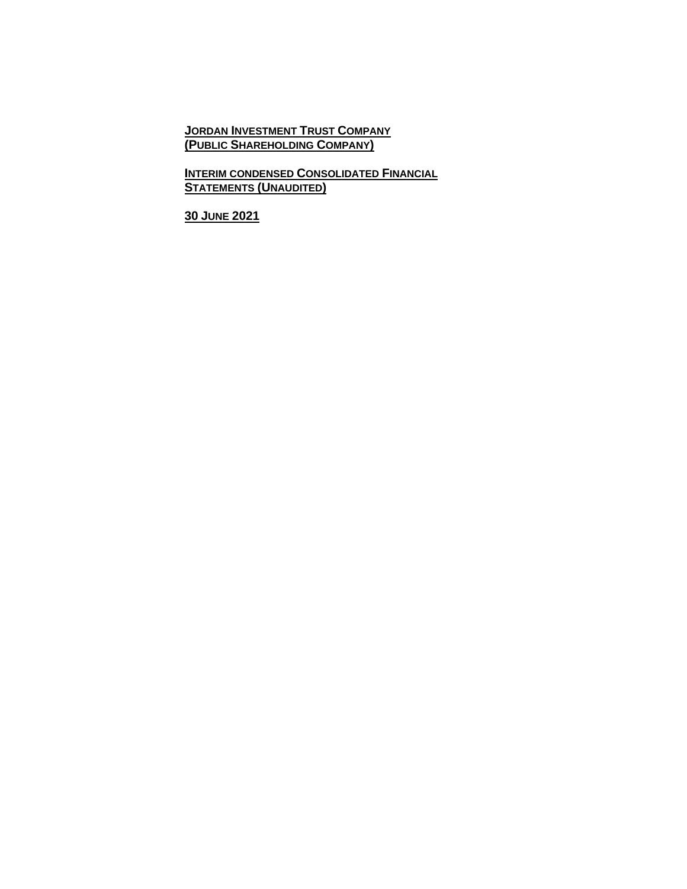**JORDAN INVESTMENT TRUST COMPANY (PUBLIC SHAREHOLDING COMPANY)**

**INTERIM CONDENSED CONSOLIDATED FINANCIAL STATEMENTS (UNAUDITED)**

**30 JUNE 2021**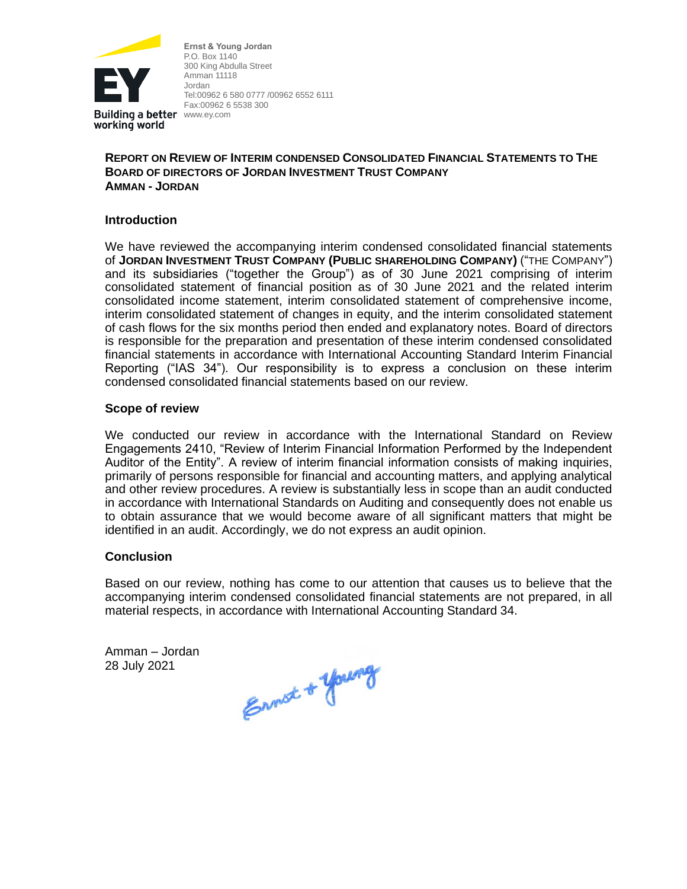

**Ernst & Young Jordan** P.O. Box 1140 300 King Abdulla Street Amman 11118 Jordan Tel:00962 6 580 0777 /00962 6552 6111 Fax:00962 6 5538 300

# **REPORT ON REVIEW OF INTERIM CONDENSED CONSOLIDATED FINANCIAL STATEMENTS TO THE BOARD OF DIRECTORS OF JORDAN INVESTMENT TRUST COMPANY AMMAN - JORDAN**

# **Introduction**

We have reviewed the accompanying interim condensed consolidated financial statements of **JORDAN INVESTMENT TRUST COMPANY (PUBLIC SHAREHOLDING COMPANY)** ("THE COMPANY") and its subsidiaries ("together the Group") as of 30 June 2021 comprising of interim consolidated statement of financial position as of 30 June 2021 and the related interim consolidated income statement, interim consolidated statement of comprehensive income, interim consolidated statement of changes in equity, and the interim consolidated statement of cash flows for the six months period then ended and explanatory notes. Board of directors is responsible for the preparation and presentation of these interim condensed consolidated financial statements in accordance with International Accounting Standard Interim Financial Reporting ("IAS 34"). Our responsibility is to express a conclusion on these interim condensed consolidated financial statements based on our review.

### **Scope of review**

We conducted our review in accordance with the International Standard on Review Engagements 2410, "Review of Interim Financial Information Performed by the Independent Auditor of the Entity". A review of interim financial information consists of making inquiries, primarily of persons responsible for financial and accounting matters, and applying analytical and other review procedures. A review is substantially less in scope than an audit conducted in accordance with International Standards on Auditing and consequently does not enable us to obtain assurance that we would become aware of all significant matters that might be identified in an audit. Accordingly, we do not express an audit opinion.

### **Conclusion**

Based on our review, nothing has come to our attention that causes us to believe that the accompanying interim condensed consolidated financial statements are not prepared, in all material respects, in accordance with International Accounting Standard 34.

Amman – Jordan 28 July 2021

Ennot + young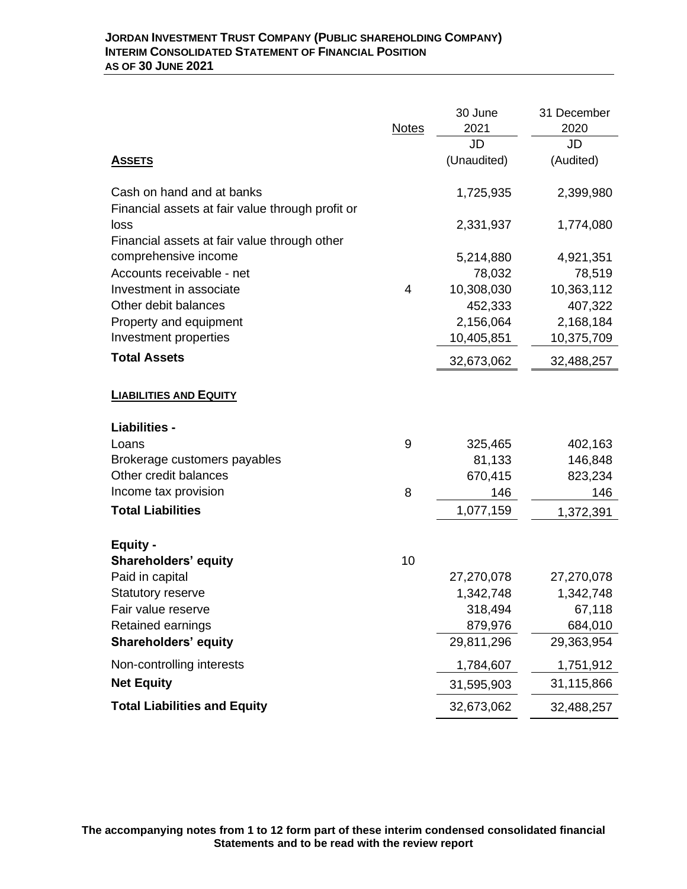|                                                          |                | 30 June     | 31 December |
|----------------------------------------------------------|----------------|-------------|-------------|
|                                                          | <b>Notes</b>   | 2021        | 2020        |
|                                                          |                | JD          | JD          |
| <u>ASSETS</u>                                            |                | (Unaudited) | (Audited)   |
| Cash on hand and at banks                                |                | 1,725,935   | 2,399,980   |
| Financial assets at fair value through profit or<br>loss |                | 2,331,937   | 1,774,080   |
| Financial assets at fair value through other             |                |             |             |
| comprehensive income                                     |                | 5,214,880   | 4,921,351   |
| Accounts receivable - net                                |                | 78,032      | 78,519      |
| Investment in associate                                  | $\overline{4}$ | 10,308,030  | 10,363,112  |
| Other debit balances                                     |                | 452,333     | 407,322     |
| Property and equipment                                   |                | 2,156,064   | 2,168,184   |
| Investment properties                                    |                | 10,405,851  | 10,375,709  |
| <b>Total Assets</b>                                      |                | 32,673,062  | 32,488,257  |
| <b>LIABILITIES AND EQUITY</b>                            |                |             |             |
| <b>Liabilities -</b>                                     |                |             |             |
| Loans                                                    | 9              | 325,465     | 402,163     |
| Brokerage customers payables                             |                | 81,133      | 146,848     |
| Other credit balances                                    |                | 670,415     | 823,234     |
| Income tax provision                                     | 8              | 146         | 146         |
| <b>Total Liabilities</b>                                 |                | 1,077,159   | 1,372,391   |
| <b>Equity -</b>                                          |                |             |             |
| <b>Shareholders' equity</b>                              | 10             |             |             |
| Paid in capital                                          |                | 27,270,078  | 27,270,078  |
| Statutory reserve                                        |                | 1,342,748   | 1,342,748   |
| Fair value reserve                                       |                | 318.494     | 67,118      |
| Retained earnings                                        |                | 879,976     | 684,010     |
| <b>Shareholders' equity</b>                              |                | 29,811,296  | 29,363,954  |
| Non-controlling interests                                |                | 1,784,607   | 1,751,912   |
| <b>Net Equity</b>                                        |                | 31,595,903  | 31,115,866  |
| <b>Total Liabilities and Equity</b>                      |                | 32,673,062  | 32,488,257  |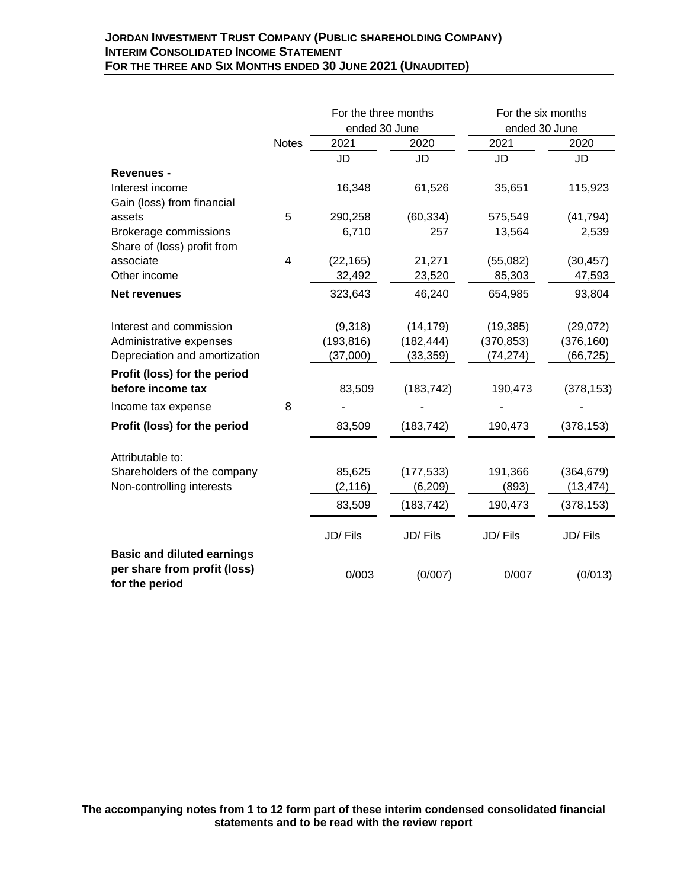## **JORDAN INVESTMENT TRUST COMPANY (PUBLIC SHAREHOLDING COMPANY) INTERIM CONSOLIDATED INCOME STATEMENT FOR THE THREE AND SIX MONTHS ENDED 30 JUNE 2021 (UNAUDITED)**

|                                                |       | For the three months  |            | For the six months    |            |
|------------------------------------------------|-------|-----------------------|------------|-----------------------|------------|
|                                                | Notes | ended 30 June<br>2021 | 2020       | ended 30 June<br>2021 | 2020       |
|                                                |       | JD                    | JD         | JD                    | JD         |
| <b>Revenues -</b>                              |       |                       |            |                       |            |
| Interest income                                |       | 16,348                | 61,526     | 35,651                | 115,923    |
| Gain (loss) from financial                     |       |                       |            |                       |            |
| assets                                         | 5     | 290,258               | (60, 334)  | 575,549               | (41, 794)  |
| <b>Brokerage commissions</b>                   |       | 6,710                 | 257        | 13,564                | 2,539      |
| Share of (loss) profit from                    |       |                       |            |                       |            |
| associate                                      | 4     | (22, 165)             | 21,271     | (55,082)              | (30, 457)  |
| Other income                                   |       | 32,492                | 23,520     | 85,303                | 47,593     |
| <b>Net revenues</b>                            |       | 323,643               | 46,240     | 654,985               | 93,804     |
|                                                |       |                       |            |                       |            |
| Interest and commission                        |       | (9,318)               | (14, 179)  | (19, 385)             | (29,072)   |
| Administrative expenses                        |       | (193, 816)            | (182, 444) | (370, 853)            | (376, 160) |
| Depreciation and amortization                  |       | (37,000)              | (33, 359)  | (74, 274)             | (66, 725)  |
| Profit (loss) for the period                   |       |                       |            |                       |            |
| before income tax                              |       | 83,509                | (183, 742) | 190,473               | (378, 153) |
| Income tax expense                             | 8     |                       |            |                       |            |
| Profit (loss) for the period                   |       | 83,509                | (183, 742) | 190,473               | (378, 153) |
| Attributable to:                               |       |                       |            |                       |            |
| Shareholders of the company                    |       | 85,625                | (177, 533) | 191,366               | (364, 679) |
| Non-controlling interests                      |       | (2, 116)              | (6, 209)   | (893)                 | (13, 474)  |
|                                                |       | 83,509                | (183, 742) | 190,473               | (378, 153) |
|                                                |       | JD/Fils               | JD/Fils    | JD/Fils               | JD/Fils    |
| <b>Basic and diluted earnings</b>              |       |                       |            |                       |            |
| per share from profit (loss)<br>for the period |       | 0/003                 | (0/007)    | 0/007                 | (0/013)    |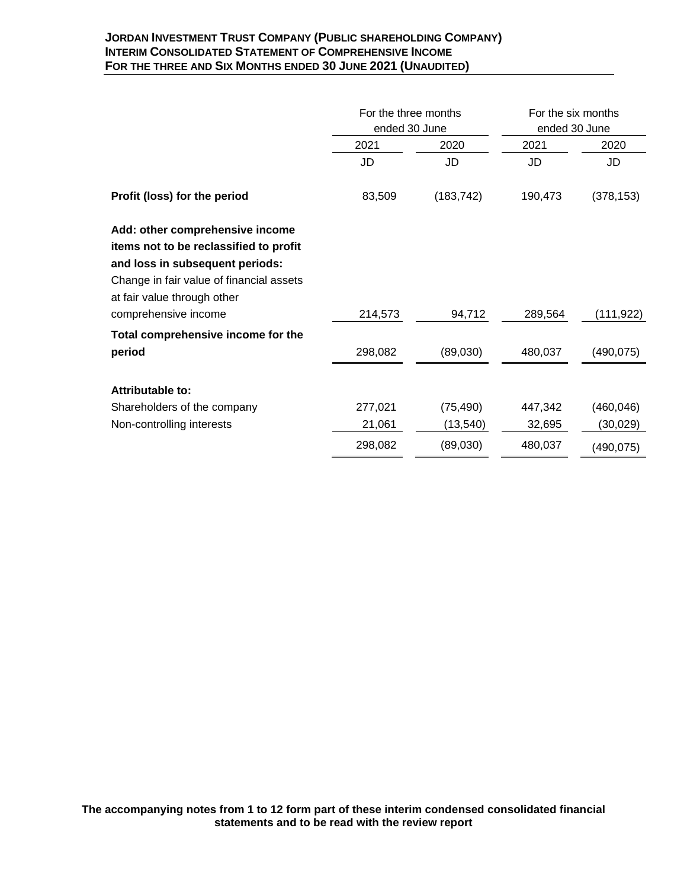## **JORDAN INVESTMENT TRUST COMPANY (PUBLIC SHAREHOLDING COMPANY) INTERIM CONSOLIDATED STATEMENT OF COMPREHENSIVE INCOME FOR THE THREE AND SIX MONTHS ENDED 30 JUNE 2021 (UNAUDITED)**

|                                                                                                                                                                                         | For the three months<br>ended 30 June |            | For the six months<br>ended 30 June |            |  |
|-----------------------------------------------------------------------------------------------------------------------------------------------------------------------------------------|---------------------------------------|------------|-------------------------------------|------------|--|
|                                                                                                                                                                                         | 2021                                  | 2020       | 2021                                | 2020       |  |
|                                                                                                                                                                                         | JD                                    | JD         | JD                                  | JD         |  |
| Profit (loss) for the period                                                                                                                                                            | 83,509                                | (183, 742) | 190,473                             | (378, 153) |  |
| Add: other comprehensive income<br>items not to be reclassified to profit<br>and loss in subsequent periods:<br>Change in fair value of financial assets<br>at fair value through other |                                       |            |                                     |            |  |
| comprehensive income                                                                                                                                                                    | 214,573                               | 94,712     | 289,564                             | (111,922)  |  |
| Total comprehensive income for the                                                                                                                                                      |                                       |            |                                     |            |  |
| period                                                                                                                                                                                  | 298,082                               | (89,030)   | 480,037                             | (490, 075) |  |
| Attributable to:<br>Shareholders of the company                                                                                                                                         | 277,021                               | (75, 490)  | 447,342                             | (460, 046) |  |
| Non-controlling interests                                                                                                                                                               | 21,061                                | (13, 540)  | 32,695                              | (30, 029)  |  |
|                                                                                                                                                                                         | 298,082                               | (89,030)   | 480,037                             | (490, 075) |  |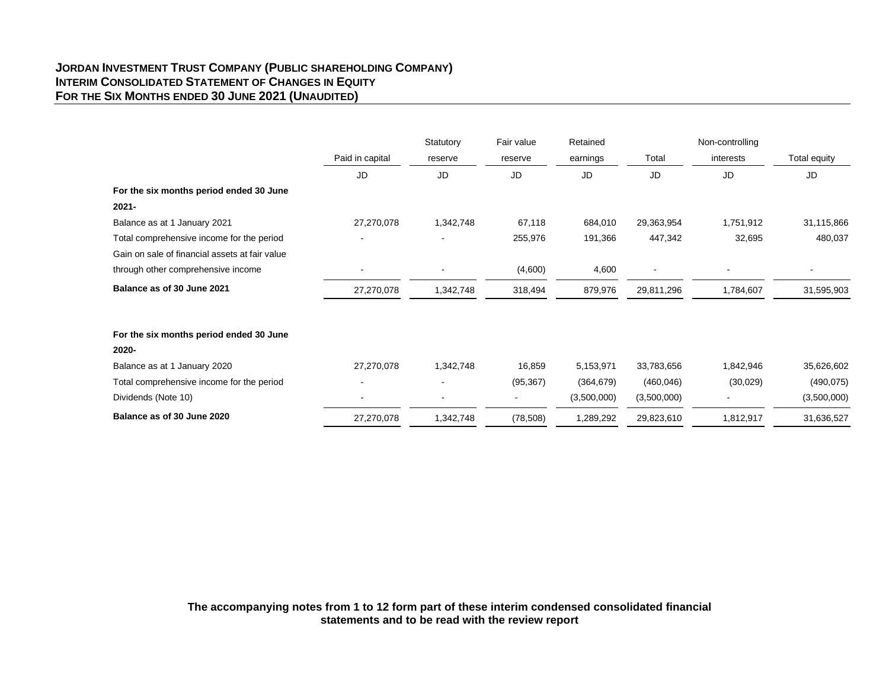## **JORDAN INVESTMENT TRUST COMPANY (PUBLIC SHAREHOLDING COMPANY) INTERIM CONSOLIDATED STATEMENT OF CHANGES IN EQUITY FOR THE SIX MONTHS ENDED 30 JUNE 2021 (UNAUDITED)**

|                                                |                 | Statutory | Fair value | Retained    |             | Non-controlling |              |
|------------------------------------------------|-----------------|-----------|------------|-------------|-------------|-----------------|--------------|
|                                                | Paid in capital | reserve   | reserve    | earnings    | Total       | interests       | Total equity |
|                                                | JD              | JD        | JD         | <b>JD</b>   | JD          | JD              | JD           |
| For the six months period ended 30 June        |                 |           |            |             |             |                 |              |
| $2021 -$                                       |                 |           |            |             |             |                 |              |
| Balance as at 1 January 2021                   | 27,270,078      | 1,342,748 | 67,118     | 684,010     | 29,363,954  | 1,751,912       | 31,115,866   |
| Total comprehensive income for the period      |                 |           | 255,976    | 191,366     | 447,342     | 32,695          | 480,037      |
| Gain on sale of financial assets at fair value |                 |           |            |             |             |                 |              |
| through other comprehensive income             | ۰               |           | (4,600)    | 4,600       |             |                 |              |
| Balance as of 30 June 2021                     | 27,270,078      | 1,342,748 | 318,494    | 879,976     | 29,811,296  | 1,784,607       | 31,595,903   |
| For the six months period ended 30 June        |                 |           |            |             |             |                 |              |
| 2020-                                          |                 |           |            |             |             |                 |              |
| Balance as at 1 January 2020                   | 27,270,078      | 1,342,748 | 16,859     | 5,153,971   | 33,783,656  | 1,842,946       | 35,626,602   |
| Total comprehensive income for the period      |                 |           | (95, 367)  | (364, 679)  | (460, 046)  | (30,029)        | (490, 075)   |
| Dividends (Note 10)                            |                 |           |            | (3,500,000) | (3,500,000) |                 | (3,500,000)  |
| Balance as of 30 June 2020                     | 27,270,078      | 1,342,748 | (78, 508)  | 1,289,292   | 29,823,610  | 1,812,917       | 31,636,527   |

**The accompanying notes from 1 to 12 form part of these interim condensed consolidated financial statements and to be read with the review report**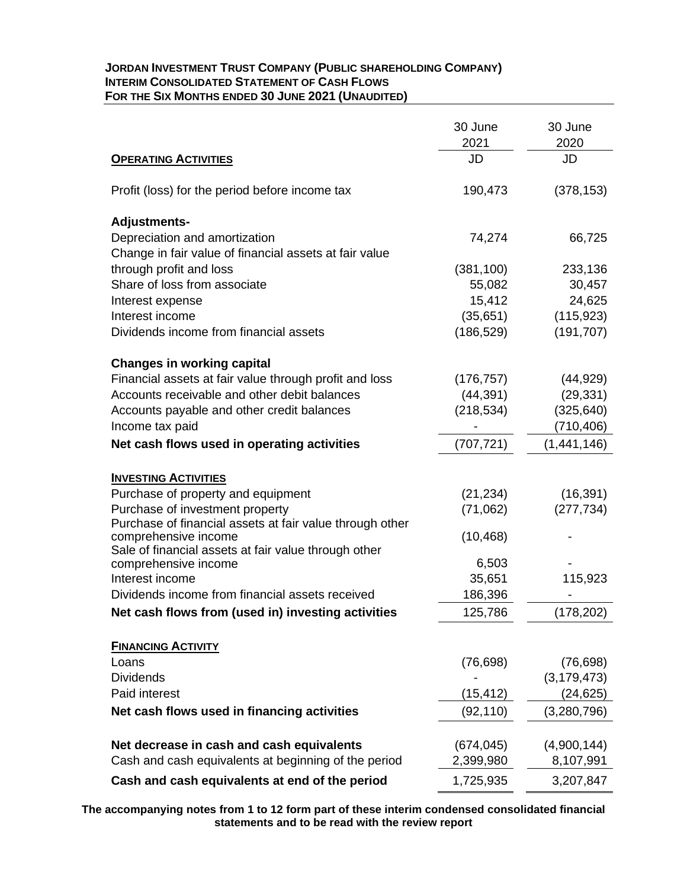## **JORDAN INVESTMENT TRUST COMPANY (PUBLIC SHAREHOLDING COMPANY) INTERIM CONSOLIDATED STATEMENT OF CASH FLOWS FOR THE SIX MONTHS ENDED 30 JUNE 2021 (UNAUDITED)**

|                                                                                   | 30 June<br>2021 | 30 June<br>2020 |
|-----------------------------------------------------------------------------------|-----------------|-----------------|
| <b>OPERATING ACTIVITIES</b>                                                       | JD              | JD              |
| Profit (loss) for the period before income tax                                    | 190,473         | (378, 153)      |
| <b>Adjustments-</b>                                                               |                 |                 |
| Depreciation and amortization                                                     | 74,274          | 66,725          |
| Change in fair value of financial assets at fair value<br>through profit and loss | (381, 100)      | 233,136         |
| Share of loss from associate                                                      | 55,082          | 30,457          |
| Interest expense                                                                  | 15,412          | 24,625          |
| Interest income                                                                   | (35,651)        | (115, 923)      |
| Dividends income from financial assets                                            | (186, 529)      | (191, 707)      |
| <b>Changes in working capital</b>                                                 |                 |                 |
| Financial assets at fair value through profit and loss                            | (176, 757)      | (44, 929)       |
| Accounts receivable and other debit balances                                      | (44, 391)       | (29, 331)       |
| Accounts payable and other credit balances                                        | (218, 534)      | (325, 640)      |
| Income tax paid                                                                   |                 | (710, 406)      |
| Net cash flows used in operating activities                                       | (707, 721)      | (1,441,146)     |
| <b>INVESTING ACTIVITIES</b>                                                       |                 |                 |
| Purchase of property and equipment                                                | (21, 234)       | (16, 391)       |
| Purchase of investment property                                                   | (71,062)        | (277, 734)      |
| Purchase of financial assets at fair value through other                          |                 |                 |
| comprehensive income                                                              | (10, 468)       |                 |
| Sale of financial assets at fair value through other                              | 6,503           |                 |
| comprehensive income<br>Interest income                                           | 35,651          | 115,923         |
| Dividends income from financial assets received                                   | 186,396         |                 |
| Net cash flows from (used in) investing activities                                | 125,786         | (178, 202)      |
|                                                                                   |                 |                 |
| <b>FINANCING ACTIVITY</b>                                                         |                 |                 |
| Loans                                                                             | (76, 698)       | (76, 698)       |
| <b>Dividends</b>                                                                  |                 | (3, 179, 473)   |
| Paid interest                                                                     | (15, 412)       | (24, 625)       |
| Net cash flows used in financing activities                                       | (92, 110)       | (3,280,796)     |
|                                                                                   |                 |                 |
| Net decrease in cash and cash equivalents                                         | (674, 045)      | (4,900,144)     |
| Cash and cash equivalents at beginning of the period                              | 2,399,980       | 8,107,991       |
| Cash and cash equivalents at end of the period                                    | 1,725,935       | 3,207,847       |

**The accompanying notes from 1 to 12 form part of these interim condensed consolidated financial statements and to be read with the review report**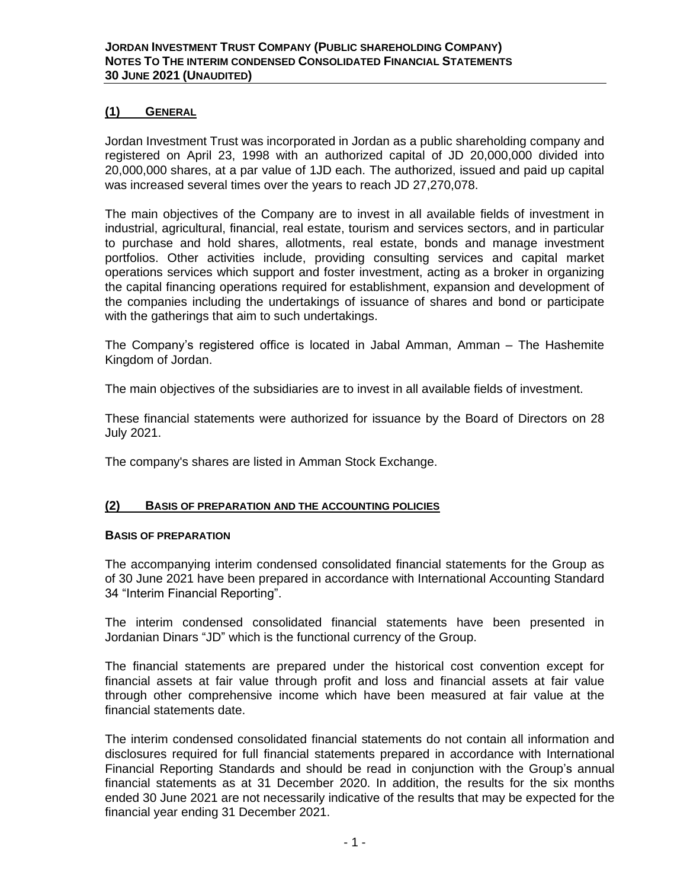## **(1) GENERAL**

Jordan Investment Trust was incorporated in Jordan as a public shareholding company and registered on April 23, 1998 with an authorized capital of JD 20,000,000 divided into 20,000,000 shares, at a par value of 1JD each. The authorized, issued and paid up capital was increased several times over the years to reach JD 27,270,078.

The main objectives of the Company are to invest in all available fields of investment in industrial, agricultural, financial, real estate, tourism and services sectors, and in particular to purchase and hold shares, allotments, real estate, bonds and manage investment portfolios. Other activities include, providing consulting services and capital market operations services which support and foster investment, acting as a broker in organizing the capital financing operations required for establishment, expansion and development of the companies including the undertakings of issuance of shares and bond or participate with the gatherings that aim to such undertakings.

The Company's registered office is located in Jabal Amman, Amman – The Hashemite Kingdom of Jordan.

The main objectives of the subsidiaries are to invest in all available fields of investment.

These financial statements were authorized for issuance by the Board of Directors on 28 July 2021.

The company's shares are listed in Amman Stock Exchange.

### **(2) BASIS OF PREPARATION AND THE ACCOUNTING POLICIES**

### **BASIS OF PREPARATION**

The accompanying interim condensed consolidated financial statements for the Group as of 30 June 2021 have been prepared in accordance with International Accounting Standard 34 "Interim Financial Reporting".

The interim condensed consolidated financial statements have been presented in Jordanian Dinars "JD" which is the functional currency of the Group.

The financial statements are prepared under the historical cost convention except for financial assets at fair value through profit and loss and financial assets at fair value through other comprehensive income which have been measured at fair value at the financial statements date.

The interim condensed consolidated financial statements do not contain all information and disclosures required for full financial statements prepared in accordance with International Financial Reporting Standards and should be read in conjunction with the Group's annual financial statements as at 31 December 2020. In addition, the results for the six months ended 30 June 2021 are not necessarily indicative of the results that may be expected for the financial year ending 31 December 2021.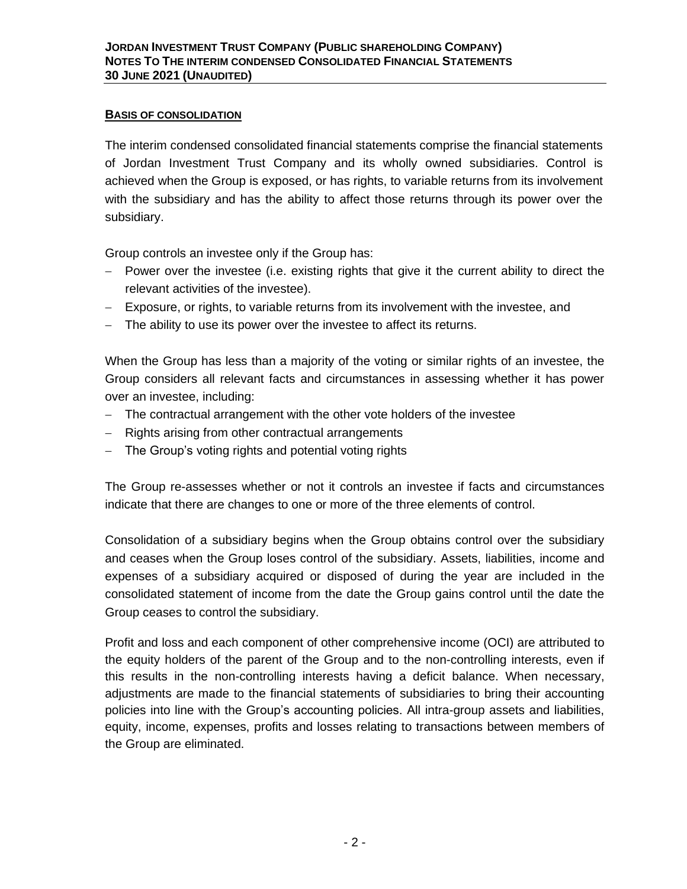# **BASIS OF CONSOLIDATION**

The interim condensed consolidated financial statements comprise the financial statements of Jordan Investment Trust Company and its wholly owned subsidiaries. Control is achieved when the Group is exposed, or has rights, to variable returns from its involvement with the subsidiary and has the ability to affect those returns through its power over the subsidiary.

Group controls an investee only if the Group has:

- − Power over the investee (i.e. existing rights that give it the current ability to direct the relevant activities of the investee).
- − Exposure, or rights, to variable returns from its involvement with the investee, and
- − The ability to use its power over the investee to affect its returns.

When the Group has less than a majority of the voting or similar rights of an investee, the Group considers all relevant facts and circumstances in assessing whether it has power over an investee, including:

- − The contractual arrangement with the other vote holders of the investee
- − Rights arising from other contractual arrangements
- − The Group's voting rights and potential voting rights

The Group re-assesses whether or not it controls an investee if facts and circumstances indicate that there are changes to one or more of the three elements of control.

Consolidation of a subsidiary begins when the Group obtains control over the subsidiary and ceases when the Group loses control of the subsidiary. Assets, liabilities, income and expenses of a subsidiary acquired or disposed of during the year are included in the consolidated statement of income from the date the Group gains control until the date the Group ceases to control the subsidiary.

Profit and loss and each component of other comprehensive income (OCI) are attributed to the equity holders of the parent of the Group and to the non-controlling interests, even if this results in the non-controlling interests having a deficit balance. When necessary, adjustments are made to the financial statements of subsidiaries to bring their accounting policies into line with the Group's accounting policies. All intra-group assets and liabilities, equity, income, expenses, profits and losses relating to transactions between members of the Group are eliminated.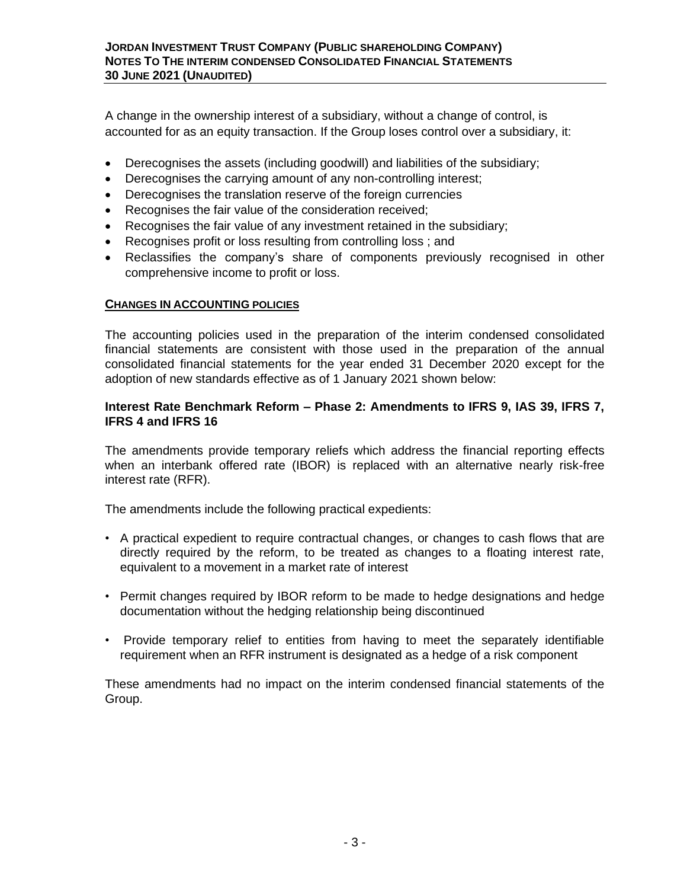A change in the ownership interest of a subsidiary, without a change of control, is accounted for as an equity transaction. If the Group loses control over a subsidiary, it:

- Derecognises the assets (including goodwill) and liabilities of the subsidiary;
- Derecognises the carrying amount of any non-controlling interest;
- Derecognises the translation reserve of the foreign currencies
- Recognises the fair value of the consideration received;
- Recognises the fair value of any investment retained in the subsidiary;
- Recognises profit or loss resulting from controlling loss ; and
- Reclassifies the company's share of components previously recognised in other comprehensive income to profit or loss.

# **CHANGES IN ACCOUNTING POLICIES**

The accounting policies used in the preparation of the interim condensed consolidated financial statements are consistent with those used in the preparation of the annual consolidated financial statements for the year ended 31 December 2020 except for the adoption of new standards effective as of 1 January 2021 shown below:

# **Interest Rate Benchmark Reform – Phase 2: Amendments to IFRS 9, IAS 39, IFRS 7, IFRS 4 and IFRS 16**

The amendments provide temporary reliefs which address the financial reporting effects when an interbank offered rate (IBOR) is replaced with an alternative nearly risk-free interest rate (RFR).

The amendments include the following practical expedients:

- A practical expedient to require contractual changes, or changes to cash flows that are directly required by the reform, to be treated as changes to a floating interest rate, equivalent to a movement in a market rate of interest
- Permit changes required by IBOR reform to be made to hedge designations and hedge documentation without the hedging relationship being discontinued
- Provide temporary relief to entities from having to meet the separately identifiable requirement when an RFR instrument is designated as a hedge of a risk component

These amendments had no impact on the interim condensed financial statements of the Group.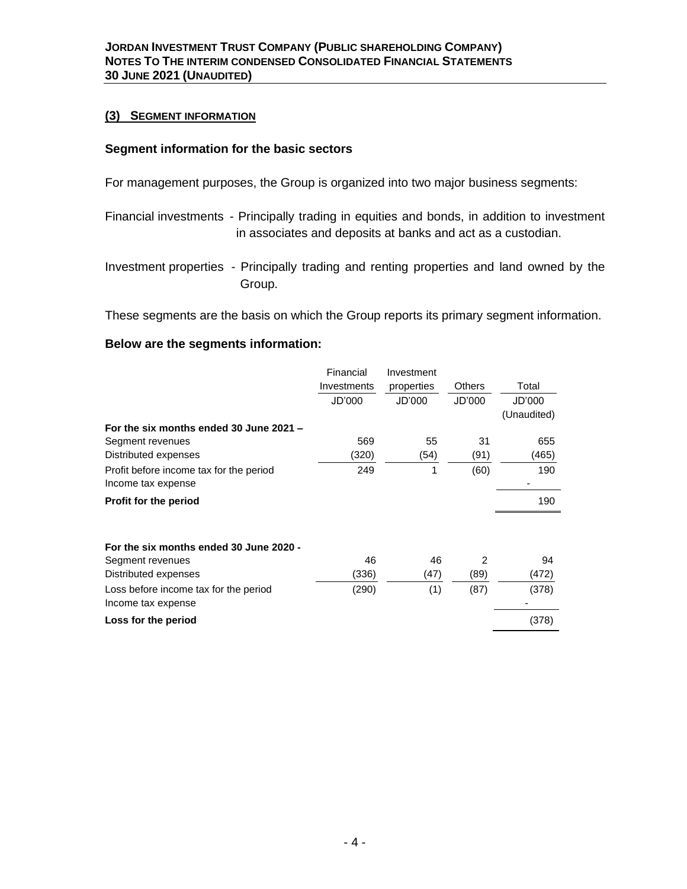## **(3) SEGMENT INFORMATION**

## **Segment information for the basic sectors**

For management purposes, the Group is organized into two major business segments:

- Financial investments Principally trading in equities and bonds, in addition to investment in associates and deposits at banks and act as a custodian.
- Investment properties Principally trading and renting properties and land owned by the Group.

These segments are the basis on which the Group reports its primary segment information.

## **Below are the segments information:**

|                                                             | Financial   | Investment |               |             |
|-------------------------------------------------------------|-------------|------------|---------------|-------------|
|                                                             | Investments | properties | <b>Others</b> | Total       |
|                                                             | JD'000      | JD'000     | JD'000        | JD'000      |
|                                                             |             |            |               | (Unaudited) |
| For the six months ended 30 June 2021 -                     |             |            |               |             |
| Segment revenues                                            | 569         | 55         | 31            | 655         |
| Distributed expenses                                        | (320)       | (54)       | (91)          | (465)       |
| Profit before income tax for the period                     | 249         | 1          | (60)          | 190         |
| Income tax expense                                          |             |            |               |             |
| Profit for the period                                       |             |            |               | 190         |
|                                                             |             |            |               |             |
| For the six months ended 30 June 2020 -                     |             |            |               |             |
| Segment revenues                                            | 46          | 46         | 2             | 94          |
| Distributed expenses                                        | (336)       | (47)       | (89)          | (472)       |
| Loss before income tax for the period<br>Income tax expense | (290)       | (1)        | (87)          | (378)       |
| Loss for the period                                         |             |            |               | (378)       |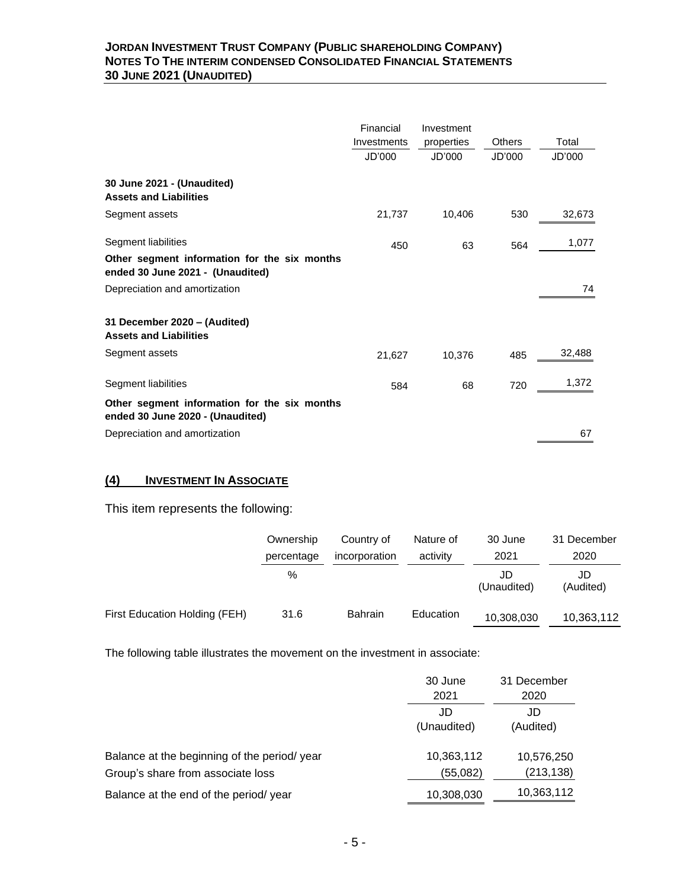## **JORDAN INVESTMENT TRUST COMPANY (PUBLIC SHAREHOLDING COMPANY) NOTES TO THE INTERIM CONDENSED CONSOLIDATED FINANCIAL STATEMENTS 30 JUNE 2021 (UNAUDITED)**

|                                                                                  | Financial<br>Investments<br>JD'000 | Investment<br>properties<br>JD'000 | Others<br>JD'000 | Total<br>JD'000 |
|----------------------------------------------------------------------------------|------------------------------------|------------------------------------|------------------|-----------------|
| 30 June 2021 - (Unaudited)<br><b>Assets and Liabilities</b>                      |                                    |                                    |                  |                 |
| Segment assets                                                                   | 21,737                             | 10,406                             | 530              | 32,673          |
| Segment liabilities<br>Other segment information for the six months              | 450                                | 63                                 | 564              | 1,077           |
| ended 30 June 2021 - (Unaudited)                                                 |                                    |                                    |                  |                 |
| Depreciation and amortization                                                    |                                    |                                    |                  | 74              |
| 31 December 2020 - (Audited)<br><b>Assets and Liabilities</b>                    |                                    |                                    |                  |                 |
| Segment assets                                                                   | 21,627                             | 10,376                             | 485              | 32,488          |
| Segment liabilities                                                              | 584                                | 68                                 | 720              | 1,372           |
| Other segment information for the six months<br>ended 30 June 2020 - (Unaudited) |                                    |                                    |                  |                 |
| Depreciation and amortization                                                    |                                    |                                    |                  | 67              |

# **(4) INVESTMENT IN ASSOCIATE**

This item represents the following:

|                               | Ownership  | Country of     | Nature of | 30 June           | 31 December     |
|-------------------------------|------------|----------------|-----------|-------------------|-----------------|
|                               | percentage | incorporation  | activity  | 2021              | 2020            |
|                               | %          |                |           | JD<br>(Unaudited) | JD<br>(Audited) |
| First Education Holding (FEH) | 31.6       | <b>Bahrain</b> | Education | 10,308,030        | 10,363,112      |

The following table illustrates the movement on the investment in associate:

| 30 June     | 31 December |
|-------------|-------------|
| 2021        | 2020        |
| JD          | JD          |
| (Unaudited) | (Audited)   |
| 10,363,112  | 10,576,250  |
| (55,082)    | (213, 138)  |
| 10,308,030  | 10,363,112  |
|             |             |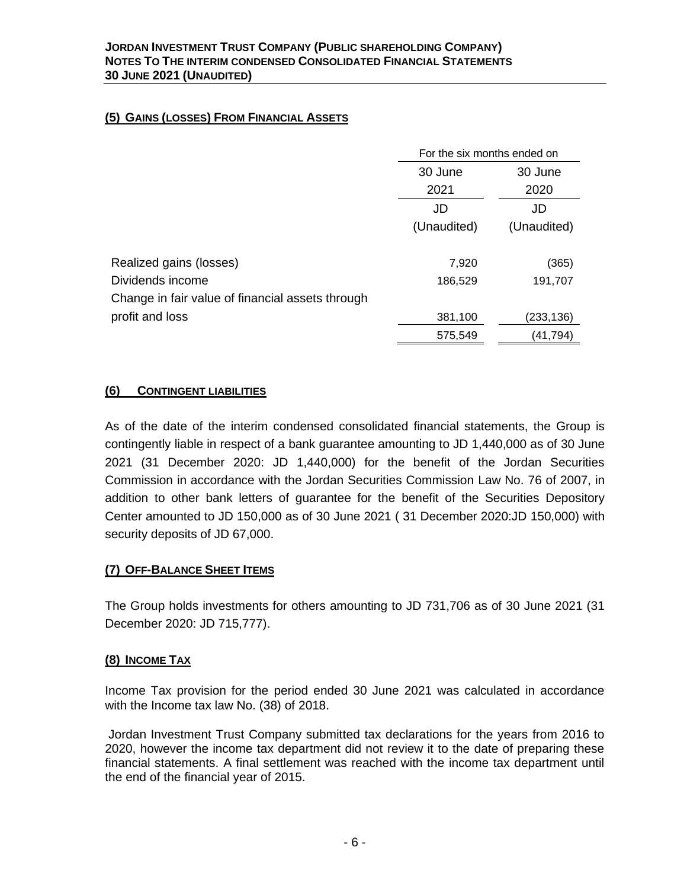# **(5) GAINS (LOSSES) FROM FINANCIAL ASSETS**

|                                                  | For the six months ended on |             |  |
|--------------------------------------------------|-----------------------------|-------------|--|
|                                                  | 30 June<br>30 June          |             |  |
|                                                  | 2021                        | 2020        |  |
|                                                  | JD                          | JD          |  |
|                                                  | (Unaudited)                 | (Unaudited) |  |
|                                                  |                             |             |  |
| Realized gains (losses)                          | 7,920                       | (365)       |  |
| Dividends income                                 | 186,529                     | 191,707     |  |
| Change in fair value of financial assets through |                             |             |  |
| profit and loss                                  | 381,100                     | (233,136)   |  |
|                                                  | 575,549                     | (41, 794)   |  |

# **(6) CONTINGENT LIABILITIES**

As of the date of the interim condensed consolidated financial statements, the Group is contingently liable in respect of a bank guarantee amounting to JD 1,440,000 as of 30 June 2021 (31 December 2020: JD 1,440,000) for the benefit of the Jordan Securities Commission in accordance with the Jordan Securities Commission Law No. 76 of 2007, in addition to other bank letters of guarantee for the benefit of the Securities Depository Center amounted to JD 150,000 as of 30 June 2021 ( 31 December 2020:JD 150,000) with security deposits of JD 67,000.

# **(7) OFF-BALANCE SHEET ITEMS**

The Group holds investments for others amounting to JD 731,706 as of 30 June 2021 (31 December 2020: JD 715,777).

# **(8) INCOME TAX**

Income Tax provision for the period ended 30 June 2021 was calculated in accordance with the Income tax law No. (38) of 2018.

Jordan Investment Trust Company submitted tax declarations for the years from 2016 to 2020, however the income tax department did not review it to the date of preparing these financial statements. A final settlement was reached with the income tax department until the end of the financial year of 2015.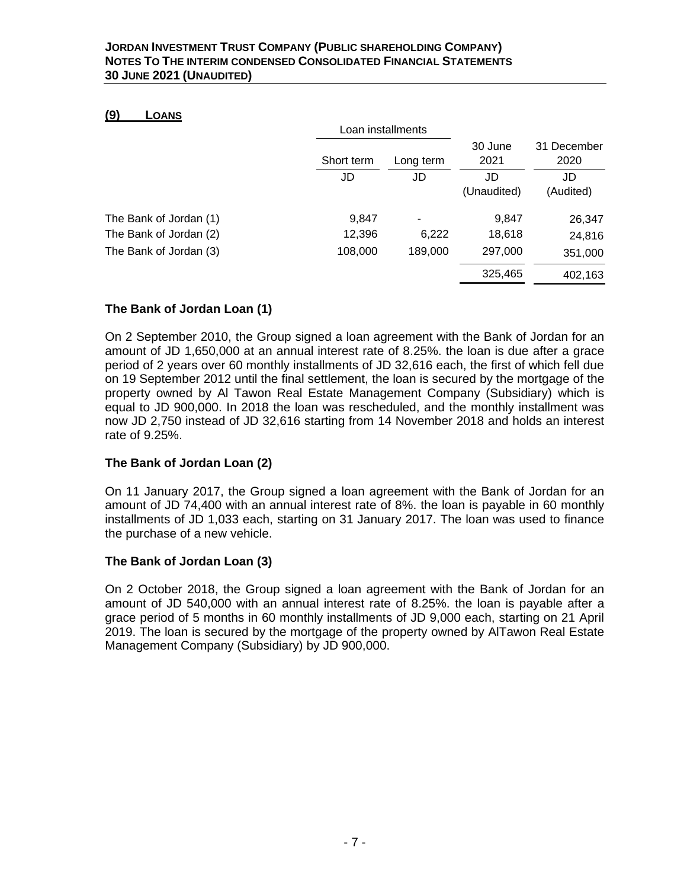## **(9) LOANS**

|                        | Loan installments |                          |                 |                     |
|------------------------|-------------------|--------------------------|-----------------|---------------------|
|                        | Short term        | Long term                | 30 June<br>2021 | 31 December<br>2020 |
|                        | JD                | JD                       | JD              | JD                  |
|                        |                   |                          | (Unaudited)     | (Audited)           |
| The Bank of Jordan (1) | 9,847             | $\overline{\phantom{a}}$ | 9,847           | 26,347              |
| The Bank of Jordan (2) | 12,396            | 6,222                    | 18,618          | 24,816              |
| The Bank of Jordan (3) | 108,000           | 189,000                  | 297,000         | 351,000             |
|                        |                   |                          | 325,465         | 402,163             |

# **The Bank of Jordan Loan (1)**

On 2 September 2010, the Group signed a loan agreement with the Bank of Jordan for an amount of JD 1,650,000 at an annual interest rate of 8.25%. the loan is due after a grace period of 2 years over 60 monthly installments of JD 32,616 each, the first of which fell due on 19 September 2012 until the final settlement, the loan is secured by the mortgage of the property owned by Al Tawon Real Estate Management Company (Subsidiary) which is equal to JD 900,000. In 2018 the loan was rescheduled, and the monthly installment was now JD 2,750 instead of JD 32,616 starting from 14 November 2018 and holds an interest rate of 9.25%.

# **The Bank of Jordan Loan (2)**

On 11 January 2017, the Group signed a loan agreement with the Bank of Jordan for an amount of JD 74,400 with an annual interest rate of 8%. the loan is payable in 60 monthly installments of JD 1,033 each, starting on 31 January 2017. The loan was used to finance the purchase of a new vehicle.

# **The Bank of Jordan Loan (3)**

On 2 October 2018, the Group signed a loan agreement with the Bank of Jordan for an amount of JD 540,000 with an annual interest rate of 8.25%. the loan is payable after a grace period of 5 months in 60 monthly installments of JD 9,000 each, starting on 21 April 2019. The loan is secured by the mortgage of the property owned by AlTawon Real Estate Management Company (Subsidiary) by JD 900,000.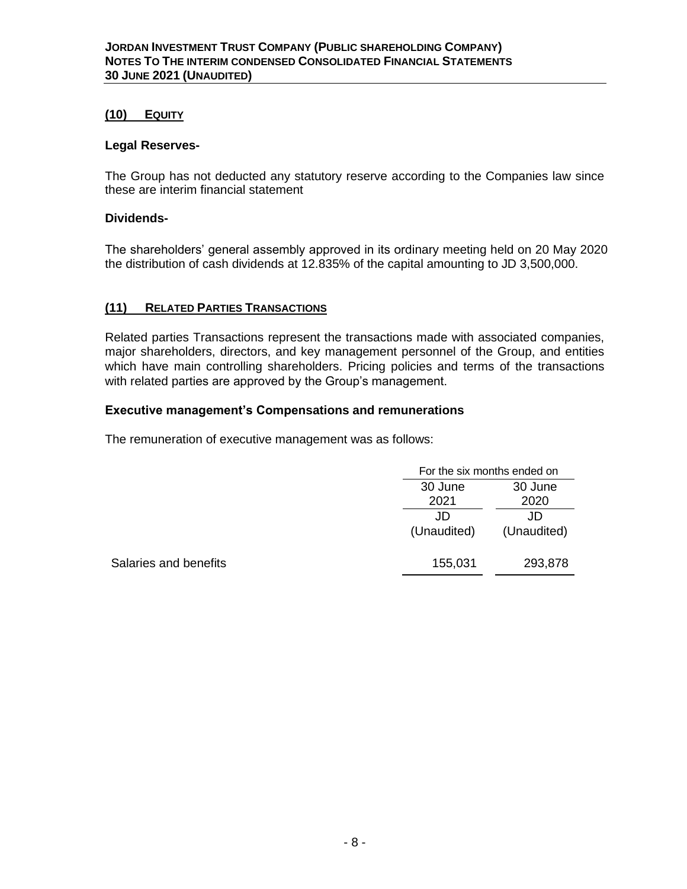## **(10) EQUITY**

### **Legal Reserves-**

The Group has not deducted any statutory reserve according to the Companies law since these are interim financial statement

## **Dividends-**

The shareholders' general assembly approved in its ordinary meeting held on 20 May 2020 the distribution of cash dividends at 12.835% of the capital amounting to JD 3,500,000.

## **(11) RELATED PARTIES TRANSACTIONS**

Related parties Transactions represent the transactions made with associated companies, major shareholders, directors, and key management personnel of the Group, and entities which have main controlling shareholders. Pricing policies and terms of the transactions with related parties are approved by the Group's management.

### **Executive management's Compensations and remunerations**

The remuneration of executive management was as follows:

|                       |             | For the six months ended on |  |  |
|-----------------------|-------------|-----------------------------|--|--|
|                       | 30 June     | 30 June                     |  |  |
|                       | 2021        | 2020                        |  |  |
|                       | JD          | JD                          |  |  |
|                       | (Unaudited) | (Unaudited)                 |  |  |
| Salaries and benefits | 155,031     | 293,878                     |  |  |
|                       |             |                             |  |  |